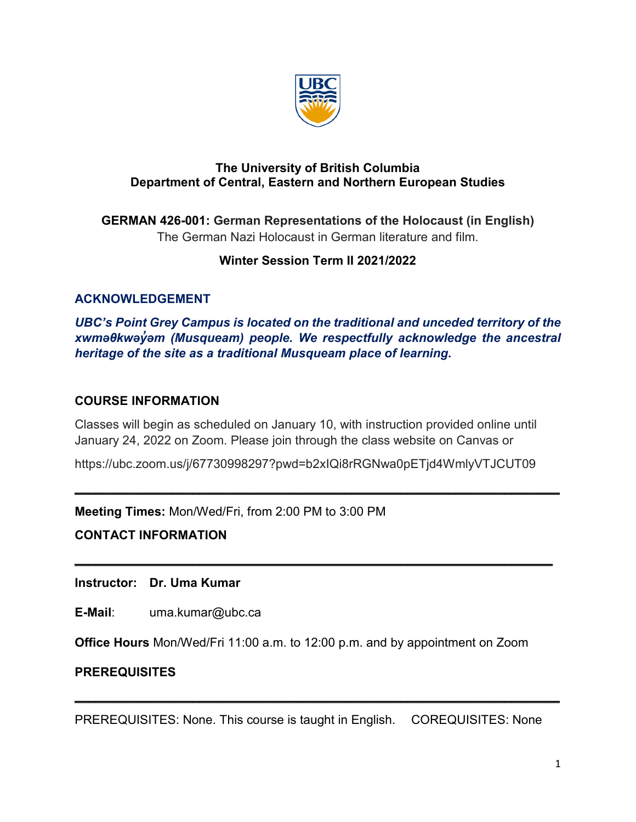

#### **The University of British Columbia Department of Central, Eastern and Northern European Studies**

**GERMAN 426-001: German Representations of the Holocaust (in English)** The German Nazi Holocaust in German literature and film.

# **Winter Session Term II 2021/2022**

# **ACKNOWLEDGEMENT**

*UBC's Point Grey Campus is located on the traditional and unceded territory of the xwməθkwəy̓əm (Musqueam) people. We respectfully acknowledge the ancestral heritage of the site as a traditional Musqueam place of learning.*

## **COURSE INFORMATION**

Classes will begin as scheduled on January 10, with instruction provided online until January 24, 2022 on Zoom. Please join through the class website on Canvas or

https://ubc.zoom.us/j/67730998297?pwd=b2xIQi8rRGNwa0pETjd4WmlyVTJCUT09

 $\mathcal{L}_\text{max}$  , and the contract of the contract of the contract of the contract of the contract of the contract of the contract of the contract of the contract of the contract of the contract of the contract of the contr

 $\_$ 

**Meeting Times:** Mon/Wed/Fri, from 2:00 PM to 3:00 PM

**CONTACT INFORMATION** 

**Instructor: Dr. Uma Kumar**

**E-Mail**: uma.kumar@ubc.ca

**Office Hours** Mon/Wed/Fri 11:00 a.m. to 12:00 p.m. and by appointment on Zoom

## **PREREQUISITES**

PREREQUISITES: None. This course is taught in English. COREQUISITES: None

 $\mathcal{L} = \{ \mathcal{L} = \{ \mathcal{L} = \mathcal{L} \} \cup \{ \mathcal{L} = \{ \mathcal{L} = \mathcal{L} \} \cup \{ \mathcal{L} = \{ \mathcal{L} = \mathcal{L} \} \cup \{ \mathcal{L} = \{ \mathcal{L} = \mathcal{L} \} \cup \{ \mathcal{L} = \{ \mathcal{L} = \mathcal{L} \} \cup \{ \mathcal{L} = \{ \mathcal{L} = \mathcal{L} \} \cup \{ \mathcal{L} = \{ \mathcal{L} = \mathcal{L} \} \cup \{ \mathcal{L} = \{ \mathcal{L}$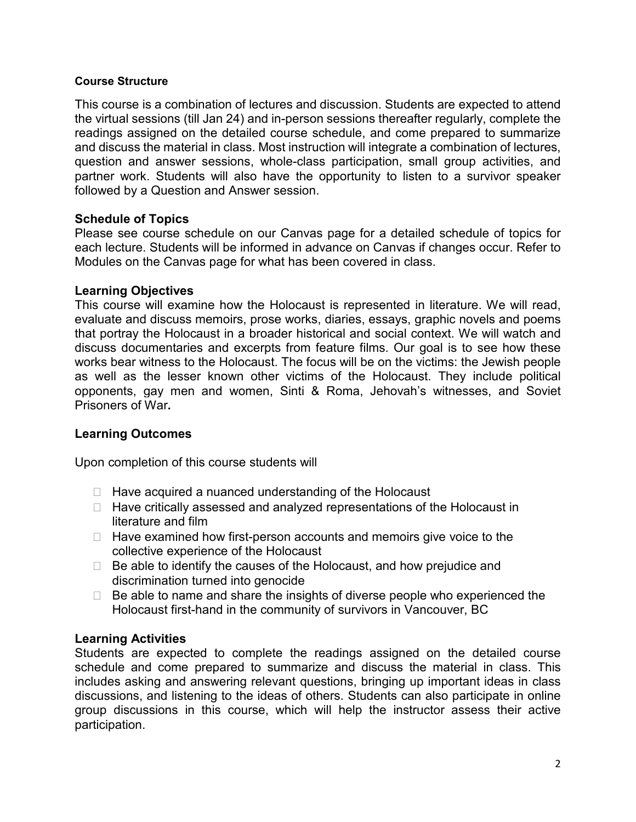#### **Course Structure**

This course is a combination of lectures and discussion. Students are expected to attend the virtual sessions (till Jan 24) and in-person sessions thereafter regularly, complete the readings assigned on the detailed course schedule, and come prepared to summarize and discuss the material in class. Most instruction will integrate a combination of lectures, question and answer sessions, whole-class participation, small group activities, and partner work. Students will also have the opportunity to listen to a survivor speaker followed by a Question and Answer session.

#### **Schedule of Topics**

Please see course schedule on our Canvas page for a detailed schedule of topics for each lecture. Students will be informed in advance on Canvas if changes occur. Refer to Modules on the Canvas page for what has been covered in class.

#### **Learning Objectives**

This course will examine how the Holocaust is represented in literature. We will read, evaluate and discuss memoirs, prose works, diaries, essays, graphic novels and poems that portray the Holocaust in a broader historical and social context. We will watch and discuss documentaries and excerpts from feature films. Our goal is to see how these works bear witness to the Holocaust. The focus will be on the victims: the Jewish people as well as the lesser known other victims of the Holocaust. They include political opponents, gay men and women, Sinti & Roma, Jehovah's witnesses, and Soviet Prisoners of War**.**

## **Learning Outcomes**

Upon completion of this course students will

- $\Box$  Have acquired a nuanced understanding of the Holocaust
- $\Box$  Have critically assessed and analyzed representations of the Holocaust in literature and film
- $\Box$  Have examined how first-person accounts and memoirs give voice to the collective experience of the Holocaust
- $\Box$  Be able to identify the causes of the Holocaust, and how prejudice and discrimination turned into genocide
- $\Box$  Be able to name and share the insights of diverse people who experienced the Holocaust first-hand in the community of survivors in Vancouver, BC

#### **Learning Activities**

Students are expected to complete the readings assigned on the detailed course schedule and come prepared to summarize and discuss the material in class. This includes asking and answering relevant questions, bringing up important ideas in class discussions, and listening to the ideas of others. Students can also participate in online group discussions in this course, which will help the instructor assess their active participation.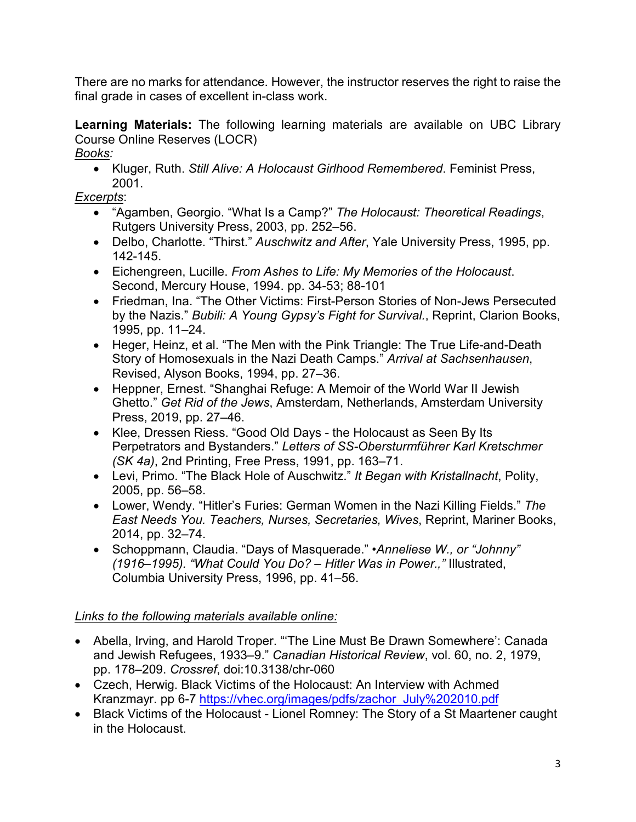There are no marks for attendance. However, the instructor reserves the right to raise the final grade in cases of excellent in-class work.

**Learning Materials:** The following learning materials are available on UBC Library Course Online Reserves (LOCR) *Books:*

• Kluger, Ruth. *Still Alive: A Holocaust Girlhood Remembered*. Feminist Press, 2001.

*Excerpts*:

- "Agamben, Georgio. "What Is a Camp?" *The Holocaust: Theoretical Readings*, Rutgers University Press, 2003, pp. 252–56.
- Delbo, Charlotte. "Thirst." *Auschwitz and After*, Yale University Press, 1995, pp. 142-145.
- Eichengreen, Lucille. *From Ashes to Life: My Memories of the Holocaust*. Second, Mercury House, 1994. pp. 34-53; 88-101
- Friedman, Ina. "The Other Victims: First-Person Stories of Non-Jews Persecuted by the Nazis." *Bubili: A Young Gypsy's Fight for Survival.*, Reprint, Clarion Books, 1995, pp. 11–24.
- Heger, Heinz, et al. "The Men with the Pink Triangle: The True Life-and-Death Story of Homosexuals in the Nazi Death Camps." *Arrival at Sachsenhausen*, Revised, Alyson Books, 1994, pp. 27–36.
- Heppner, Ernest. "Shanghai Refuge: A Memoir of the World War II Jewish Ghetto." *Get Rid of the Jews*, Amsterdam, Netherlands, Amsterdam University Press, 2019, pp. 27–46.
- Klee, Dressen Riess. "Good Old Days the Holocaust as Seen By Its Perpetrators and Bystanders." *Letters of SS-Obersturmführer Karl Kretschmer (SK 4a)*, 2nd Printing, Free Press, 1991, pp. 163–71.
- Levi, Primo. "The Black Hole of Auschwitz." *It Began with Kristallnacht*, Polity, 2005, pp. 56–58.
- Lower, Wendy. "Hitler's Furies: German Women in the Nazi Killing Fields." *The East Needs You. Teachers, Nurses, Secretaries, Wives*, Reprint, Mariner Books, 2014, pp. 32–74.
- Schoppmann, Claudia. "Days of Masquerade." *•Anneliese W., or "Johnny" (1916–1995). "What Could You Do? – Hitler Was in Power.,"* Illustrated, Columbia University Press, 1996, pp. 41–56.

# *Links to the following materials available online:*

- Abella, Irving, and Harold Troper. "'The Line Must Be Drawn Somewhere': Canada and Jewish Refugees, 1933–9." *Canadian Historical Review*, vol. 60, no. 2, 1979, pp. 178–209. *Crossref*, doi:10.3138/chr-060
- Czech, Herwig. Black Victims of the Holocaust: An Interview with Achmed Kranzmayr. pp 6-7 [https://vhec.org/images/pdfs/zachor\\_July%202010.pdf](https://vhec.org/images/pdfs/zachor_July%202010.pdf)
- Black Victims of the Holocaust Lionel Romney: The Story of a St Maartener caught in the Holocaust.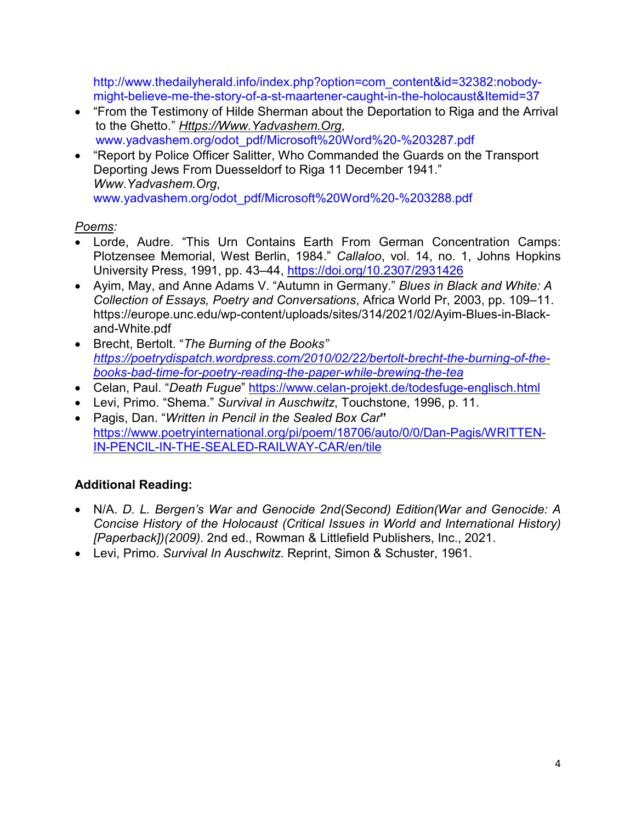[http://www.thedailyherald.info/index.php?option=com\\_content&id=32382:nobody](http://www.thedailyherald.info/index.php?option=com_content&id=32382:nobody-might-believe-me-the-story-of-a-st-maartener-caught-in-the-holocaust&Itemid=37)[might-believe-me-the-story-of-a-st-maartener-caught-in-the-holocaust&Itemid=37](http://www.thedailyherald.info/index.php?option=com_content&id=32382:nobody-might-believe-me-the-story-of-a-st-maartener-caught-in-the-holocaust&Itemid=37)

- "From the Testimony of Hilde Sherman about the Deportation to Riga and the Arrival to the Ghetto." *[Https://Www.Yadvashem.Org](https://www.yadvashem.org/)*, www.yadvashem.org/odot\_pdf/Microsoft%20Word%20-%203287.pdf
- "Report by Police Officer Salitter, Who Commanded the Guards on the Transport Deporting Jews From Duesseldorf to Riga 11 December 1941." *Www.Yadvashem.Org*, www.yadvashem.org/odot\_pdf/Microsoft%20Word%20-%203288.pdf

## *Poems:*

- Lorde, Audre. "This Urn Contains Earth From German Concentration Camps: Plotzensee Memorial, West Berlin, 1984." *Callaloo*, vol. 14, no. 1, Johns Hopkins University Press, 1991, pp. 43–44, <https://doi.org/10.2307/2931426>
- Ayim, May, and Anne Adams V. "Autumn in Germany." *Blues in Black and White: A Collection of Essays, Poetry and Conversations*, Africa World Pr, 2003, pp. 109–11. https://europe.unc.edu/wp-content/uploads/sites/314/2021/02/Ayim-Blues-in-Blackand-White.pdf
- Brecht, Bertolt. "*The Burning of the Books" [https://poetrydispatch.wordpress.com/2010/02/22/bertolt-brecht-the-burning-of-the](https://poetrydispatch.wordpress.com/2010/02/22/bertolt-brecht-the-burning-of-the-books-bad-time-for-poetry-reading-the-paper-while-brewing-the-tea)[books-bad-time-for-poetry-reading-the-paper-while-brewing-the-tea](https://poetrydispatch.wordpress.com/2010/02/22/bertolt-brecht-the-burning-of-the-books-bad-time-for-poetry-reading-the-paper-while-brewing-the-tea)*
- Celan, Paul. "*Death Fugue*" <https://www.celan-projekt.de/todesfuge-englisch.html>
- Levi, Primo. "Shema." *Survival in Auschwitz*, Touchstone, 1996, p. 11.
- Pagis, Dan. "*Written in Pencil in the Sealed Box Car***"** [https://www.poetryinternational.org/pi/poem/18706/auto/0/0/Dan-Pagis/WRITTEN-](https://www.poetryinternational.org/pi/poem/18706/auto/0/0/Dan-Pagis/WRITTEN-IN-PENCIL-IN-THE-SEALED-RAILWAY-CAR/en/tile)[IN-PENCIL-IN-THE-SEALED-RAILWAY-CAR/en/tile](https://www.poetryinternational.org/pi/poem/18706/auto/0/0/Dan-Pagis/WRITTEN-IN-PENCIL-IN-THE-SEALED-RAILWAY-CAR/en/tile)

# **Additional Reading:**

- N/A. *D. L. Bergen's War and Genocide 2nd(Second) Edition(War and Genocide: A Concise History of the Holocaust (Critical Issues in World and International History) [Paperback])(2009)*. 2nd ed., Rowman & Littlefield Publishers, Inc., 2021.
- Levi, Primo. *Survival In Auschwitz*. Reprint, Simon & Schuster, 1961.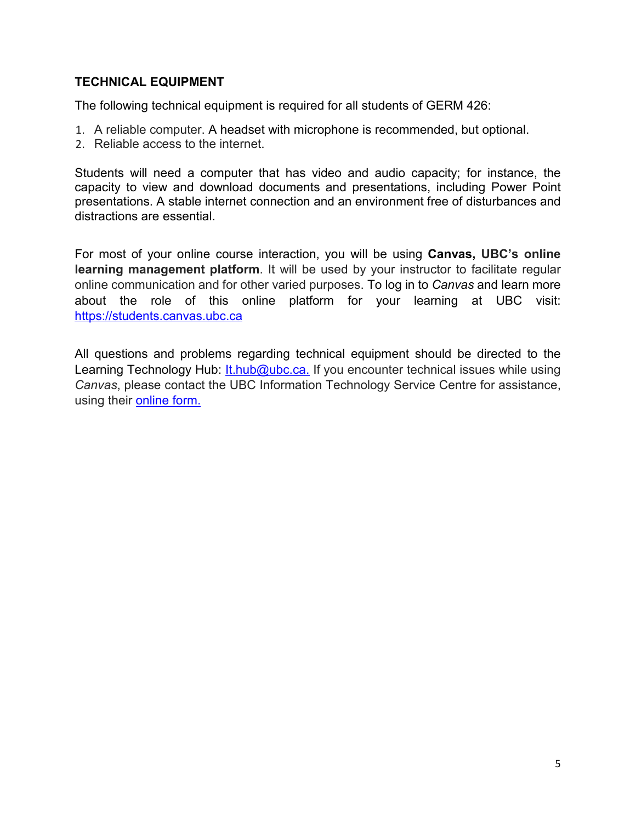## **TECHNICAL EQUIPMENT**

The following technical equipment is required for all students of GERM 426:

- 1. A reliable computer. A headset with microphone is recommended, but optional.
- 2. Reliable access to the internet.

Students will need a computer that has video and audio capacity; for instance, the capacity to view and download documents and presentations, including Power Point presentations. A stable internet connection and an environment free of disturbances and distractions are essential.

For most of your online course interaction, you will be using **Canvas, UBC's online learning management platform**. It will be used by your instructor to facilitate regular online communication and for other varied purposes. To log in to *Canvas* and learn more about the role of this online platform for your learning at UBC visit: [https://students.canvas.ubc.ca](https://students.canvas.ubc.ca/)

All questions and problems regarding technical equipment should be directed to the Learning Technology Hub: [It.hub@ubc.ca.](mailto:It.hub@ubc.ca) If you encounter technical issues while using *Canvas*, please contact the UBC Information Technology Service Centre for assistance, using their [online form.](http://web.it.ubc.ca/forms/isf/)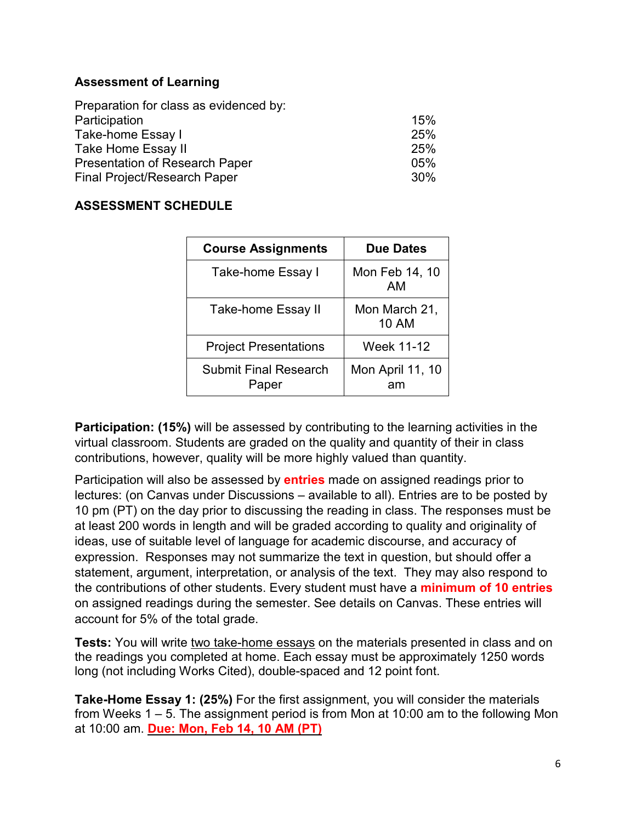## **Assessment of Learning**

| Preparation for class as evidenced by: |     |
|----------------------------------------|-----|
| Participation                          | 15% |
| Take-home Essay I                      | 25% |
| Take Home Essay II                     | 25% |
| <b>Presentation of Research Paper</b>  | 05% |
| Final Project/Research Paper           | 30% |

## **ASSESSMENT SCHEDULE**

| <b>Course Assignments</b>             | <b>Due Dates</b>              |
|---------------------------------------|-------------------------------|
| Take-home Essay I                     | Mon Feb 14, 10<br>AМ          |
| Take-home Essay II                    | Mon March 21,<br><b>10 AM</b> |
| <b>Project Presentations</b>          | Week 11-12                    |
| <b>Submit Final Research</b><br>Paper | Mon April 11, 10<br>am        |

**Participation: (15%)** will be assessed by contributing to the learning activities in the virtual classroom. Students are graded on the quality and quantity of their in class contributions, however, quality will be more highly valued than quantity.

Participation will also be assessed by **entries** made on assigned readings prior to lectures: (on Canvas under Discussions – available to all). Entries are to be posted by 10 pm (PT) on the day prior to discussing the reading in class. The responses must be at least 200 words in length and will be graded according to quality and originality of ideas, use of suitable level of language for academic discourse, and accuracy of expression. Responses may not summarize the text in question, but should offer a statement, argument, interpretation, or analysis of the text. They may also respond to the contributions of other students. Every student must have a **minimum of 10 entries** on assigned readings during the semester. See details on Canvas. These entries will account for 5% of the total grade.

**Tests:** You will write two take-home essays on the materials presented in class and on the readings you completed at home. Each essay must be approximately 1250 words long (not including Works Cited), double-spaced and 12 point font.

**Take-Home Essay 1: (25%)** For the first assignment, you will consider the materials from Weeks 1 – 5. The assignment period is from Mon at 10:00 am to the following Mon at 10:00 am. **Due: Mon, Feb 14, 10 AM (PT)**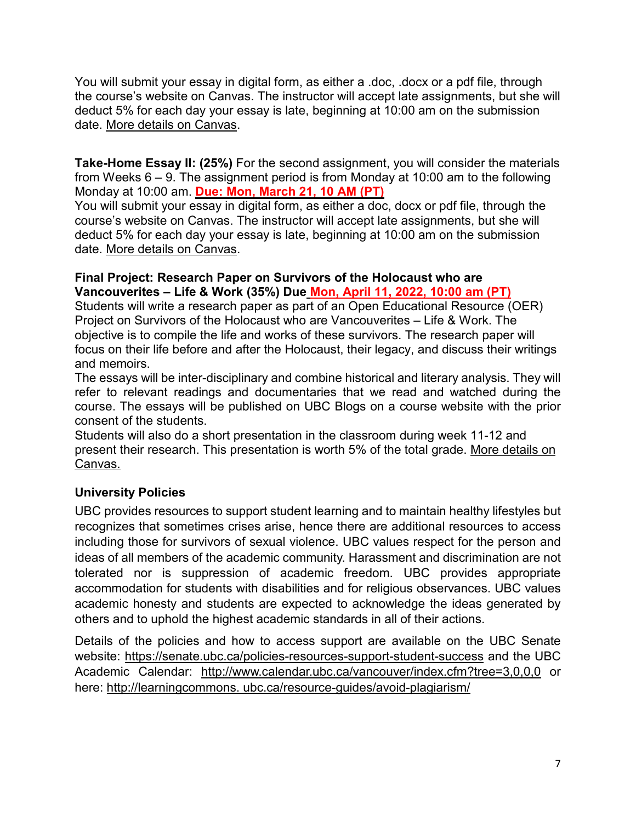You will submit your essay in digital form, as either a .doc, .docx or a pdf file, through the course's website on Canvas. The instructor will accept late assignments, but she will deduct 5% for each day your essay is late, beginning at 10:00 am on the submission date. More details on Canvas.

**Take-Home Essay II: (25%)** For the second assignment, you will consider the materials from Weeks 6 – 9. The assignment period is from Monday at 10:00 am to the following Monday at 10:00 am. **Due: Mon, March 21, 10 AM (PT)**

You will submit your essay in digital form, as either a doc, docx or pdf file, through the course's website on Canvas. The instructor will accept late assignments, but she will deduct 5% for each day your essay is late, beginning at 10:00 am on the submission date. More details on Canvas.

## **Final Project: Research Paper on Survivors of the Holocaust who are Vancouverites – Life & Work (35%) Due Mon, April 11, 2022, 10:00 am (PT)**

Students will write a research paper as part of an Open Educational Resource (OER) Project on Survivors of the Holocaust who are Vancouverites – Life & Work. The objective is to compile the life and works of these survivors. The research paper will focus on their life before and after the Holocaust, their legacy, and discuss their writings and memoirs.

The essays will be inter-disciplinary and combine historical and literary analysis. They will refer to relevant readings and documentaries that we read and watched during the course. The essays will be published on UBC Blogs on a course website with the prior consent of the students.

Students will also do a short presentation in the classroom during week 11-12 and present their research. This presentation is worth 5% of the total grade. More details on Canvas.

# **University Policies**

UBC provides resources to support student learning and to maintain healthy lifestyles but recognizes that sometimes crises arise, hence there are additional resources to access including those for survivors of sexual violence. UBC values respect for the person and ideas of all members of the academic community. Harassment and discrimination are not tolerated nor is suppression of academic freedom. UBC provides appropriate accommodation for students with disabilities and for religious observances. UBC values academic honesty and students are expected to acknowledge the ideas generated by others and to uphold the highest academic standards in all of their actions.

Details of the policies and how to access support are available on [the UBC Senate](https://senate.ubc.ca/policies-resources-support-student-success)  [website:](https://senate.ubc.ca/policies-resources-support-student-success) https://senate.ubc.ca/policies-resources-support-student-success and the UBC Academic Calendar: http://www.calendar.ubc.ca/vancouver/index.cfm?tree=3,0,0,0 or here: http://learningcommons. ubc.ca/resource-guides/avoid-plagiarism/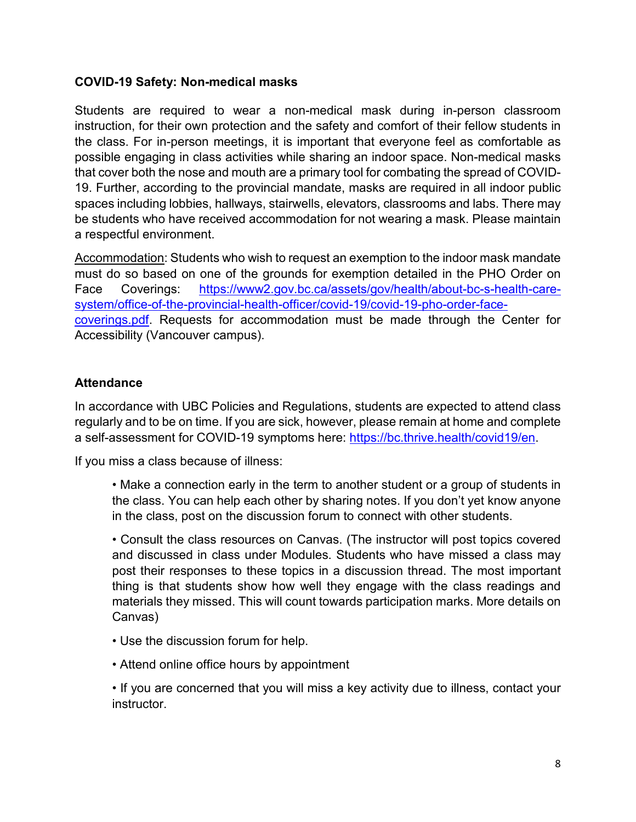#### **COVID-19 Safety: Non-medical masks**

Students are required to wear a non-medical mask during in-person classroom instruction, for their own protection and the safety and comfort of their fellow students in the class. For in-person meetings, it is important that everyone feel as comfortable as possible engaging in class activities while sharing an indoor space. Non-medical masks that cover both the nose and mouth are a primary tool for combating the spread of COVID-19. Further, according to the provincial mandate, masks are required in all indoor public spaces including lobbies, hallways, stairwells, elevators, classrooms and labs. There may be students who have received accommodation for not wearing a mask. Please maintain a respectful environment.

Accommodation: Students who wish to request an exemption to the indoor mask mandate must do so based on one of the grounds for exemption detailed in the PHO Order on Face Coverings: [https://www2.gov.bc.ca/assets/gov/health/about-bc-s-health-care](https://www2.gov.bc.ca/assets/gov/health/about-bc-s-health-care-system/office-of-the-provincial-health-officer/covid-19/covid-19-pho-order-face-coverings.pdf)[system/office-of-the-provincial-health-officer/covid-19/covid-19-pho-order-face](https://www2.gov.bc.ca/assets/gov/health/about-bc-s-health-care-system/office-of-the-provincial-health-officer/covid-19/covid-19-pho-order-face-coverings.pdf)[coverings.pdf.](https://www2.gov.bc.ca/assets/gov/health/about-bc-s-health-care-system/office-of-the-provincial-health-officer/covid-19/covid-19-pho-order-face-coverings.pdf) Requests for accommodation must be made through the Center for Accessibility (Vancouver campus).

#### **Attendance**

In accordance with UBC Policies and Regulations, students are expected to attend class regularly and to be on time. If you are sick, however, please remain at home and complete a self-assessment for COVID-19 symptoms here: [https://bc.thrive.health/covid19/en.](https://bc.thrive.health/covid19/en)

If you miss a class because of illness:

• Make a connection early in the term to another student or a group of students in the class. You can help each other by sharing notes. If you don't yet know anyone in the class, post on the discussion forum to connect with other students.

• Consult the class resources on Canvas. (The instructor will post topics covered and discussed in class under Modules. Students who have missed a class may post their responses to these topics in a discussion thread. The most important thing is that students show how well they engage with the class readings and materials they missed. This will count towards participation marks. More details on Canvas)

- Use the discussion forum for help.
- Attend online office hours by appointment

• If you are concerned that you will miss a key activity due to illness, contact your instructor.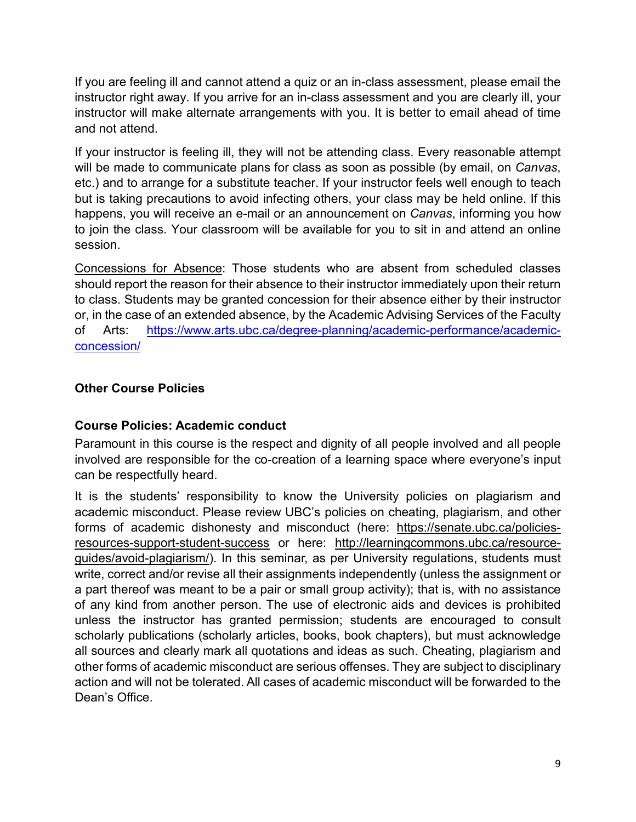If you are feeling ill and cannot attend a quiz or an in-class assessment, please email the instructor right away. If you arrive for an in-class assessment and you are clearly ill, your instructor will make alternate arrangements with you. It is better to email ahead of time and not attend.

If your instructor is feeling ill, they will not be attending class. Every reasonable attempt will be made to communicate plans for class as soon as possible (by email, on *Canvas*, etc.) and to arrange for a substitute teacher. If your instructor feels well enough to teach but is taking precautions to avoid infecting others, your class may be held online. If this happens, you will receive an e-mail or an announcement on *Canvas*, informing you how to join the class. Your classroom will be available for you to sit in and attend an online session.

Concessions for Absence: Those students who are absent from scheduled classes should report the reason for their absence to their instructor immediately upon their return to class. Students may be granted concession for their absence either by their instructor or, in the case of an extended absence, by the Academic Advising Services of the Faculty of Arts: [https://www.arts.ubc.ca/degree-planning/academic-performance/academic](https://www.arts.ubc.ca/degree-planning/academic-performance/academic-concession/)[concession/](https://www.arts.ubc.ca/degree-planning/academic-performance/academic-concession/)

# **Other Course Policies**

## **Course Policies: Academic conduct**

Paramount in this course is the respect and dignity of all people involved and all people involved are responsible for the co-creation of a learning space where everyone's input can be respectfully heard.

It is the students' responsibility to know the University policies on plagiarism and academic misconduct. Please review UBC's policies on cheating, plagiarism, and other forms of academic dishonesty and misconduct (here: https://senate.ubc.ca/policiesresources-support-student-success or here: http://learningcommons.ubc.ca/resourceguides/avoid-plagiarism/). In this seminar, as per University regulations, students must write, correct and/or revise all their assignments independently (unless the assignment or a part thereof was meant to be a pair or small group activity); that is, with no assistance of any kind from another person. The use of electronic aids and devices is prohibited unless the instructor has granted permission; students are encouraged to consult scholarly publications (scholarly articles, books, book chapters), but must acknowledge all sources and clearly mark all quotations and ideas as such. Cheating, plagiarism and other forms of academic misconduct are serious offenses. They are subject to disciplinary action and will not be tolerated. All cases of academic misconduct will be forwarded to the Dean's Office.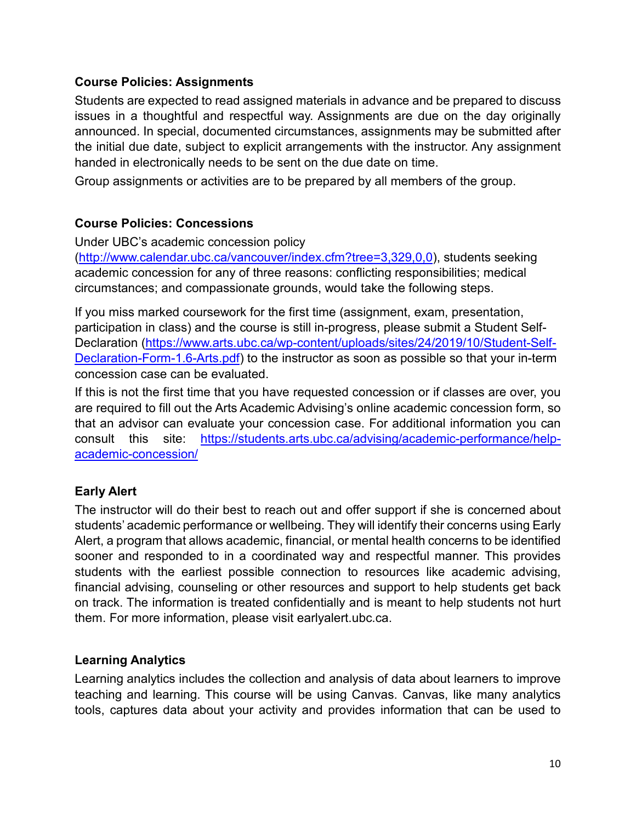## **Course Policies: Assignments**

Students are expected to read assigned materials in advance and be prepared to discuss issues in a thoughtful and respectful way. Assignments are due on the day originally announced. In special, documented circumstances, assignments may be submitted after the initial due date, subject to explicit arrangements with the instructor. Any assignment handed in electronically needs to be sent on the due date on time.

Group assignments or activities are to be prepared by all members of the group.

## **Course Policies: Concessions**

Under UBC's academic concession policy [\(http://www.calendar.ubc.ca/vancouver/index.cfm?tree=3,329,0,0\)](http://www.calendar.ubc.ca/vancouver/index.cfm?tree=3,329,0,0), students seeking academic concession for any of three reasons: conflicting responsibilities; medical circumstances; and compassionate grounds, would take the following steps.

If you miss marked coursework for the first time (assignment, exam, presentation, participation in class) and the course is still in-progress, please submit a [Student Self-](https://students-2016.sites.olt.ubc.ca/files/2019/09/Student-Self-Declaration-Form-1.6-Arts.pdf)[Declaration](https://students-2016.sites.olt.ubc.ca/files/2019/09/Student-Self-Declaration-Form-1.6-Arts.pdf) [\(https://www.arts.ubc.ca/wp-content/uploads/sites/24/2019/10/Student-Self-](https://www.arts.ubc.ca/wp-content/uploads/sites/24/2019/10/Student-Self-Declaration-Form-1.6-Arts.pdf)[Declaration-Form-1.6-Arts.pdf\)](https://www.arts.ubc.ca/wp-content/uploads/sites/24/2019/10/Student-Self-Declaration-Form-1.6-Arts.pdf) to the instructor as soon as possible so that your in-term concession case can be evaluated.

If this is not the first time that you have requested concession or if classes are over, you are required to fill out the Arts Academic Advising's [online academic concession form,](https://students.air.arts.ubc.ca/academic-concession-form/) so that an advisor can evaluate your concession case. For additional information you can consult this site: [https://students.arts.ubc.ca/advising/academic-performance/help](https://students.arts.ubc.ca/advising/academic-performance/help-academic-concession/)[academic-concession/](https://students.arts.ubc.ca/advising/academic-performance/help-academic-concession/)

## **Early Alert**

The instructor will do their best to reach out and offer support if she is concerned about students' academic performance or wellbeing. They will identify their concerns using Early Alert, a program that allows academic, financial, or mental health concerns to be identified sooner and responded to in a coordinated way and respectful manner. This provides students with the earliest possible connection to resources like academic advising, financial advising, counseling or other resources and support to help students get back on track. The information is treated confidentially and is meant to help students not hurt them. For more information, please visit earlyalert.ubc.ca.

#### **Learning Analytics**

Learning analytics includes the collection and analysis of data about learners to improve teaching and learning. This course will be using Canvas. Canvas, like many analytics tools, captures data about your activity and provides information that can be used to